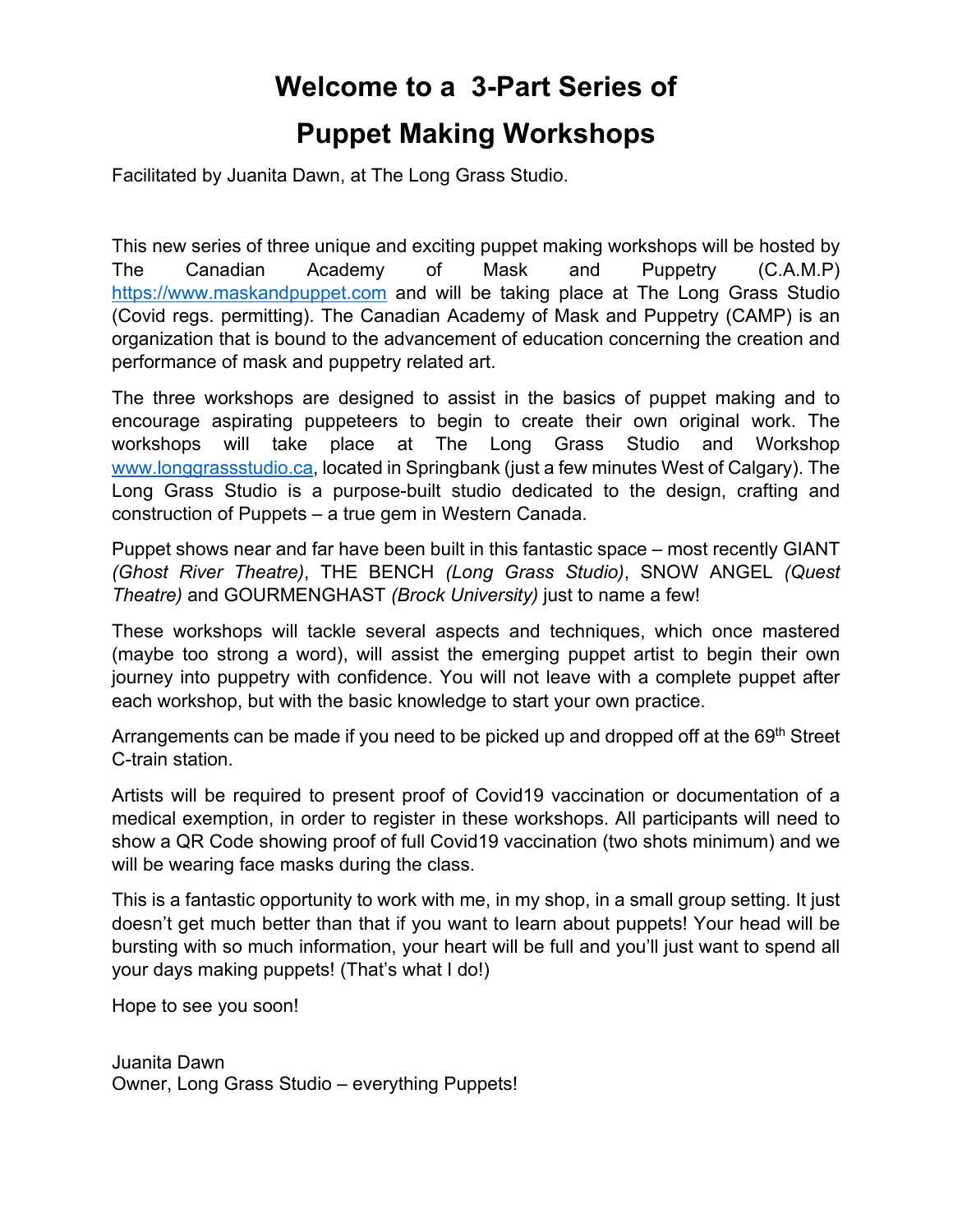# **Welcome to a 3-Part Series of Puppet Making Workshops**

Facilitated by Juanita Dawn, at The Long Grass Studio.

This new series of three unique and exciting puppet making workshops will be hosted by The Canadian Academy of Mask and Puppetry (C.A.M.P) https://www.maskandpuppet.com and will be taking place at The Long Grass Studio (Covid regs. permitting). The Canadian Academy of Mask and Puppetry (CAMP) is an organization that is bound to the advancement of education concerning the creation and performance of mask and puppetry related art.

The three workshops are designed to assist in the basics of puppet making and to encourage aspirating puppeteers to begin to create their own original work. The workshops will take place at The Long Grass Studio and Workshop www.longgrassstudio.ca, located in Springbank (just a few minutes West of Calgary). The Long Grass Studio is a purpose-built studio dedicated to the design, crafting and construction of Puppets – a true gem in Western Canada.

Puppet shows near and far have been built in this fantastic space – most recently GIANT *(Ghost River Theatre)*, THE BENCH *(Long Grass Studio)*, SNOW ANGEL *(Quest Theatre)* and GOURMENGHAST *(Brock University)* just to name a few!

These workshops will tackle several aspects and techniques, which once mastered (maybe too strong a word), will assist the emerging puppet artist to begin their own journey into puppetry with confidence. You will not leave with a complete puppet after each workshop, but with the basic knowledge to start your own practice.

Arrangements can be made if you need to be picked up and dropped off at the 69<sup>th</sup> Street C-train station.

Artists will be required to present proof of Covid19 vaccination or documentation of a medical exemption, in order to register in these workshops. All participants will need to show a QR Code showing proof of full Covid19 vaccination (two shots minimum) and we will be wearing face masks during the class.

This is a fantastic opportunity to work with me, in my shop, in a small group setting. It just doesn't get much better than that if you want to learn about puppets! Your head will be bursting with so much information, your heart will be full and you'll just want to spend all your days making puppets! (That's what I do!)

Hope to see you soon!

Juanita Dawn Owner, Long Grass Studio – everything Puppets!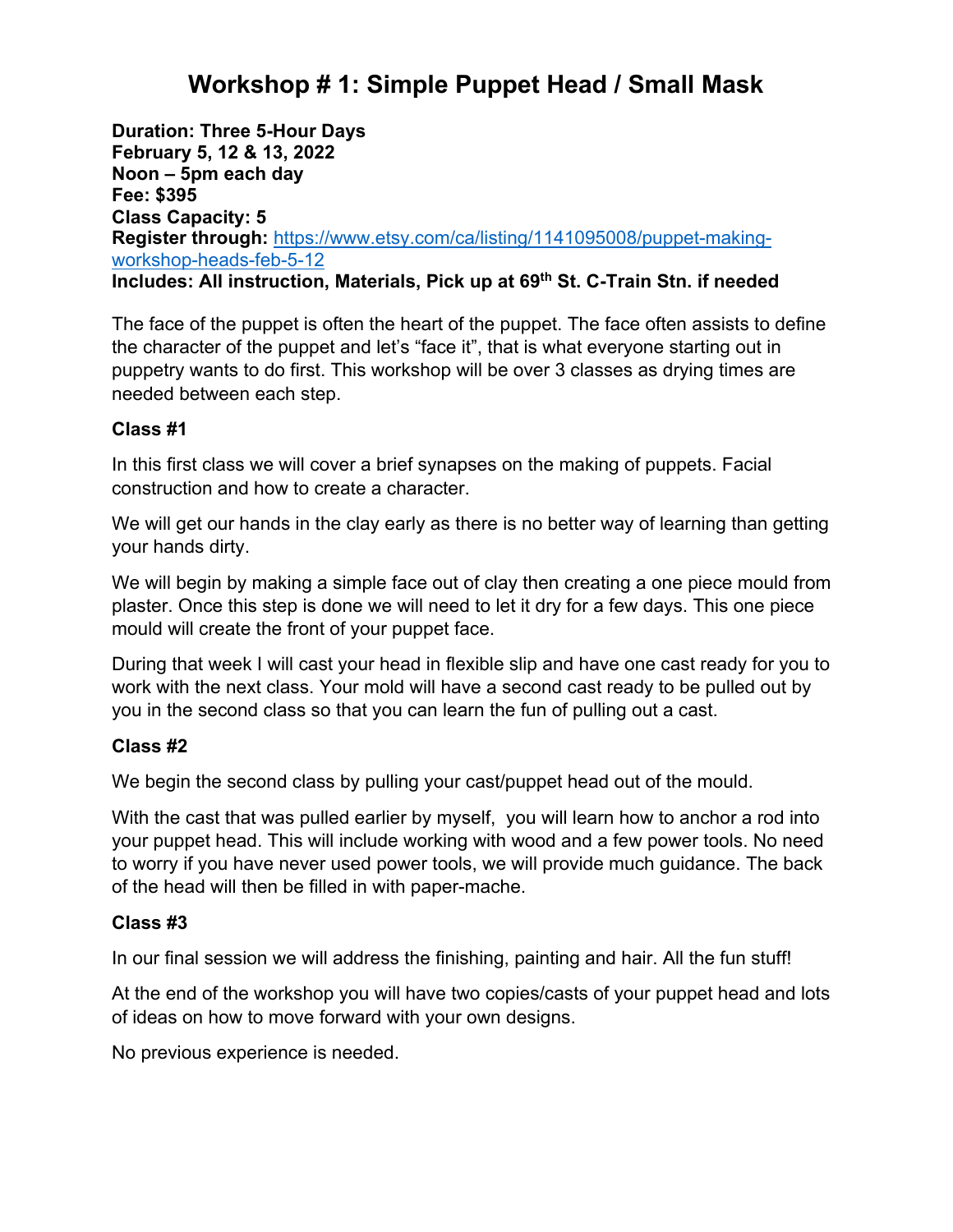### **Workshop # 1: Simple Puppet Head / Small Mask**

**Duration: Three 5-Hour Days February 5, 12 & 13, 2022 Noon – 5pm each day Fee: \$395 Class Capacity: 5 Register through:** https://www.etsy.com/ca/listing/1141095008/puppet-makingworkshop-heads-feb-5-12 **Includes: All instruction, Materials, Pick up at 69th St. C-Train Stn. if needed**

The face of the puppet is often the heart of the puppet. The face often assists to define the character of the puppet and let's "face it", that is what everyone starting out in puppetry wants to do first. This workshop will be over 3 classes as drying times are needed between each step.

#### **Class #1**

In this first class we will cover a brief synapses on the making of puppets. Facial construction and how to create a character.

We will get our hands in the clay early as there is no better way of learning than getting your hands dirty.

We will begin by making a simple face out of clay then creating a one piece mould from plaster. Once this step is done we will need to let it dry for a few days. This one piece mould will create the front of your puppet face.

During that week I will cast your head in flexible slip and have one cast ready for you to work with the next class. Your mold will have a second cast ready to be pulled out by you in the second class so that you can learn the fun of pulling out a cast.

#### **Class #2**

We begin the second class by pulling your cast/puppet head out of the mould.

With the cast that was pulled earlier by myself, you will learn how to anchor a rod into your puppet head. This will include working with wood and a few power tools. No need to worry if you have never used power tools, we will provide much guidance. The back of the head will then be filled in with paper-mache.

### **Class #3**

In our final session we will address the finishing, painting and hair. All the fun stuff!

At the end of the workshop you will have two copies/casts of your puppet head and lots of ideas on how to move forward with your own designs.

No previous experience is needed.